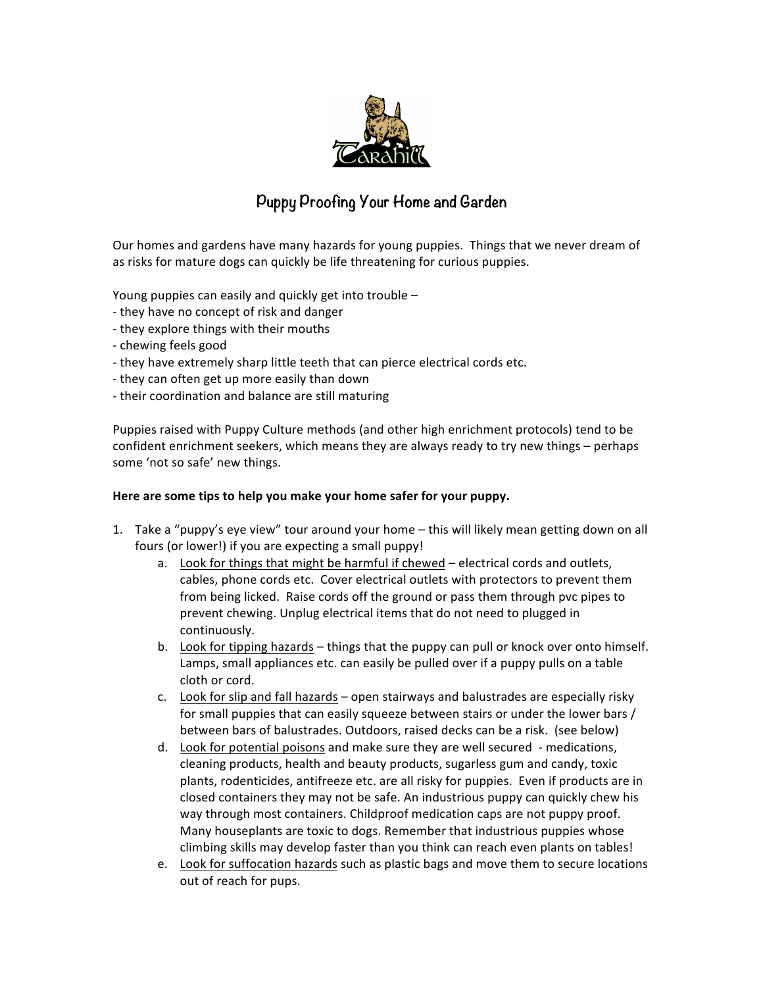

## **Puppy Proofing Your Home and Garden**

Our homes and gardens have many hazards for young puppies. Things that we never dream of as risks for mature dogs can quickly be life threatening for curious puppies.

Young puppies can easily and quickly get into trouble  $-$ 

- they have no concept of risk and danger
- they explore things with their mouths
- chewing feels good
- they have extremely sharp little teeth that can pierce electrical cords etc.
- they can often get up more easily than down
- their coordination and balance are still maturing

Puppies raised with Puppy Culture methods (and other high enrichment protocols) tend to be confident enrichment seekers, which means they are always ready to try new things – perhaps some 'not so safe' new things.

## Here are some tips to help you make your home safer for your puppy.

- 1. Take a "puppy's eye view" tour around your home this will likely mean getting down on all fours (or lower!) if you are expecting a small puppy!
	- a. Look for things that might be harmful if chewed electrical cords and outlets, cables, phone cords etc. Cover electrical outlets with protectors to prevent them from being licked. Raise cords off the ground or pass them through pvc pipes to prevent chewing. Unplug electrical items that do not need to plugged in continuously.
	- b. Look for tipping hazards things that the puppy can pull or knock over onto himself. Lamps, small appliances etc. can easily be pulled over if a puppy pulls on a table cloth or cord.
	- c. Look for slip and fall hazards open stairways and balustrades are especially risky for small puppies that can easily squeeze between stairs or under the lower bars / between bars of balustrades. Outdoors, raised decks can be a risk. (see below)
	- d. Look for potential poisons and make sure they are well secured medications, cleaning products, health and beauty products, sugarless gum and candy, toxic plants, rodenticides, antifreeze etc. are all risky for puppies. Even if products are in closed containers they may not be safe. An industrious puppy can quickly chew his way through most containers. Childproof medication caps are not puppy proof. Many houseplants are toxic to dogs. Remember that industrious puppies whose climbing skills may develop faster than you think can reach even plants on tables!
	- e. Look for suffocation hazards such as plastic bags and move them to secure locations out of reach for pups.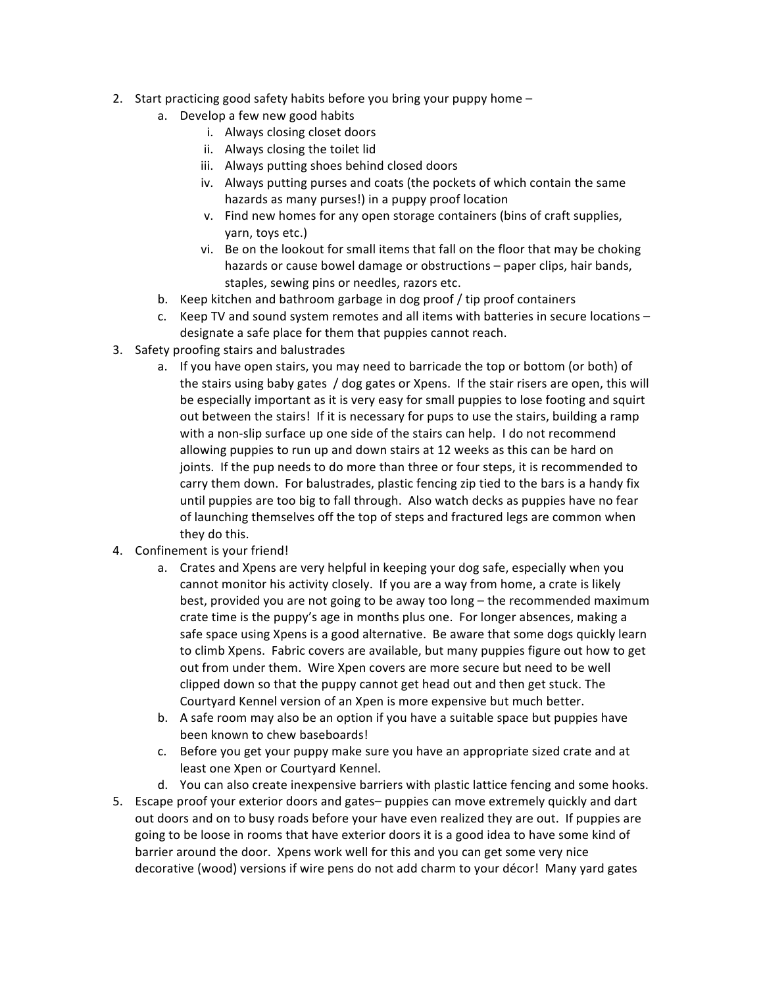- 2. Start practicing good safety habits before you bring your puppy home  $$ 
	- a. Develop a few new good habits
		- i. Always closing closet doors
		- ii. Always closing the toilet lid
		- iii. Always putting shoes behind closed doors
		- iv. Always putting purses and coats (the pockets of which contain the same hazards as many purses!) in a puppy proof location
		- v. Find new homes for any open storage containers (bins of craft supplies, yarn, toys etc.)
		- vi. Be on the lookout for small items that fall on the floor that may be choking hazards or cause bowel damage or obstructions - paper clips, hair bands, staples, sewing pins or needles, razors etc.
	- b. Keep kitchen and bathroom garbage in dog proof / tip proof containers
	- c. Keep TV and sound system remotes and all items with batteries in secure locations designate a safe place for them that puppies cannot reach.
- 3. Safety proofing stairs and balustrades
	- a. If you have open stairs, you may need to barricade the top or bottom (or both) of the stairs using baby gates / dog gates or Xpens. If the stair risers are open, this will be especially important as it is very easy for small puppies to lose footing and squirt out between the stairs! If it is necessary for pups to use the stairs, building a ramp with a non-slip surface up one side of the stairs can help. I do not recommend allowing puppies to run up and down stairs at 12 weeks as this can be hard on joints. If the pup needs to do more than three or four steps, it is recommended to carry them down. For balustrades, plastic fencing zip tied to the bars is a handy fix until puppies are too big to fall through. Also watch decks as puppies have no fear of launching themselves off the top of steps and fractured legs are common when they do this.
- 4. Confinement is your friend!
	- a. Crates and Xpens are very helpful in keeping your dog safe, especially when you cannot monitor his activity closely. If you are a way from home, a crate is likely best, provided you are not going to be away too long – the recommended maximum crate time is the puppy's age in months plus one. For longer absences, making a safe space using Xpens is a good alternative. Be aware that some dogs quickly learn to climb Xpens. Fabric covers are available, but many puppies figure out how to get out from under them. Wire Xpen covers are more secure but need to be well clipped down so that the puppy cannot get head out and then get stuck. The Courtyard Kennel version of an Xpen is more expensive but much better.
	- b. A safe room may also be an option if you have a suitable space but puppies have been known to chew baseboards!
	- c. Before you get your puppy make sure you have an appropriate sized crate and at least one Xpen or Courtyard Kennel.
	- d. You can also create inexpensive barriers with plastic lattice fencing and some hooks.
- 5. Escape proof your exterior doors and gates– puppies can move extremely quickly and dart out doors and on to busy roads before your have even realized they are out. If puppies are going to be loose in rooms that have exterior doors it is a good idea to have some kind of barrier around the door. Xpens work well for this and you can get some very nice decorative (wood) versions if wire pens do not add charm to your décor! Many yard gates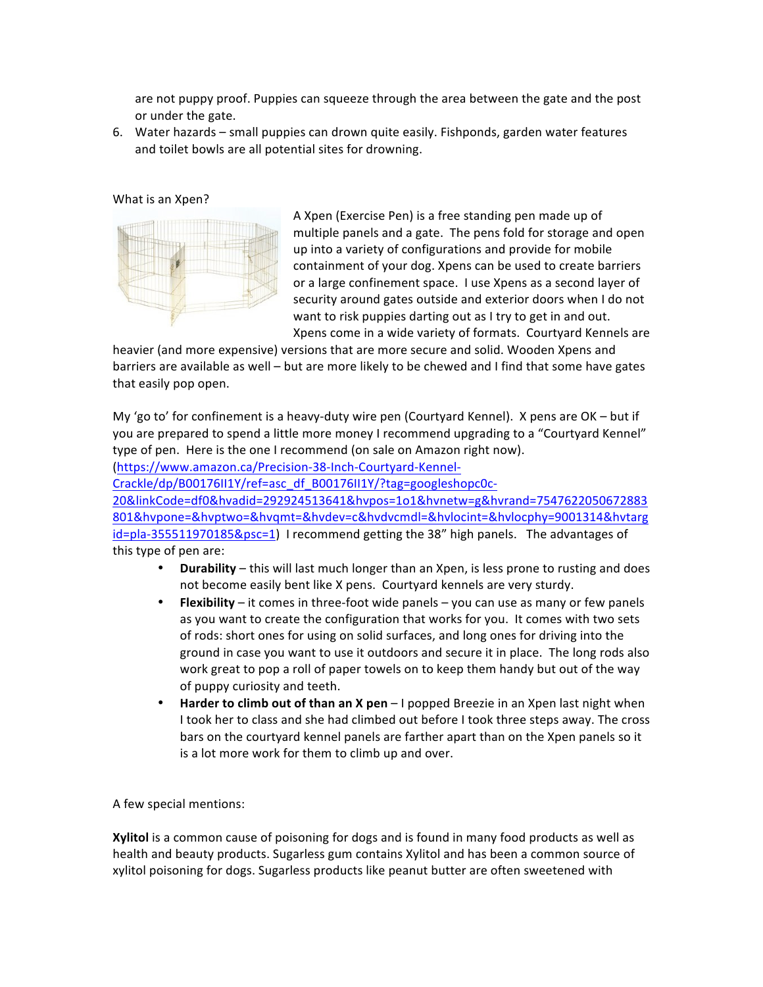are not puppy proof. Puppies can squeeze through the area between the gate and the post or under the gate.

6. Water hazards – small puppies can drown quite easily. Fishponds, garden water features and toilet bowls are all potential sites for drowning.

## What is an Xpen?



A Xpen (Exercise Pen) is a free standing pen made up of multiple panels and a gate. The pens fold for storage and open up into a variety of configurations and provide for mobile containment of your dog. Xpens can be used to create barriers or a large confinement space. I use Xpens as a second layer of security around gates outside and exterior doors when I do not want to risk puppies darting out as I try to get in and out. Xpens come in a wide variety of formats. Courtyard Kennels are

heavier (and more expensive) versions that are more secure and solid. Wooden Xpens and barriers are available as well – but are more likely to be chewed and I find that some have gates that easily pop open.

My 'go to' for confinement is a heavy-duty wire pen (Courtyard Kennel). X pens are  $OK - but if$ you are prepared to spend a little more money I recommend upgrading to a "Courtyard Kennel" type of pen. Here is the one I recommend (on sale on Amazon right now).

(https://www.amazon.ca/Precision-38-Inch-Courtyard-Kennel-

Crackle/dp/B00176II1Y/ref=asc\_df\_B00176II1Y/?tag=googleshopc0c-

20&linkCode=df0&hvadid=292924513641&hvpos=1o1&hvnetw=g&hvrand=7547622050672883 801&hvpone=&hvptwo=&hvqmt=&hvdev=c&hvdvcmdl=&hvlocint=&hvlocphy=9001314&hvtarg id=pla-355511970185&psc=1) I recommend getting the 38" high panels. The advantages of this type of pen are:

- **Durability** this will last much longer than an Xpen, is less prone to rusting and does not become easily bent like X pens. Courtyard kennels are very sturdy.
- **Flexibility** it comes in three-foot wide panels you can use as many or few panels as you want to create the configuration that works for you. It comes with two sets of rods: short ones for using on solid surfaces, and long ones for driving into the ground in case you want to use it outdoors and secure it in place. The long rods also work great to pop a roll of paper towels on to keep them handy but out of the way of puppy curiosity and teeth.
- **Harder to climb out of than an X pen** I popped Breezie in an Xpen last night when I took her to class and she had climbed out before I took three steps away. The cross bars on the courtyard kennel panels are farther apart than on the Xpen panels so it is a lot more work for them to climb up and over.

A few special mentions:

**Xylitol** is a common cause of poisoning for dogs and is found in many food products as well as health and beauty products. Sugarless gum contains Xylitol and has been a common source of xylitol poisoning for dogs. Sugarless products like peanut butter are often sweetened with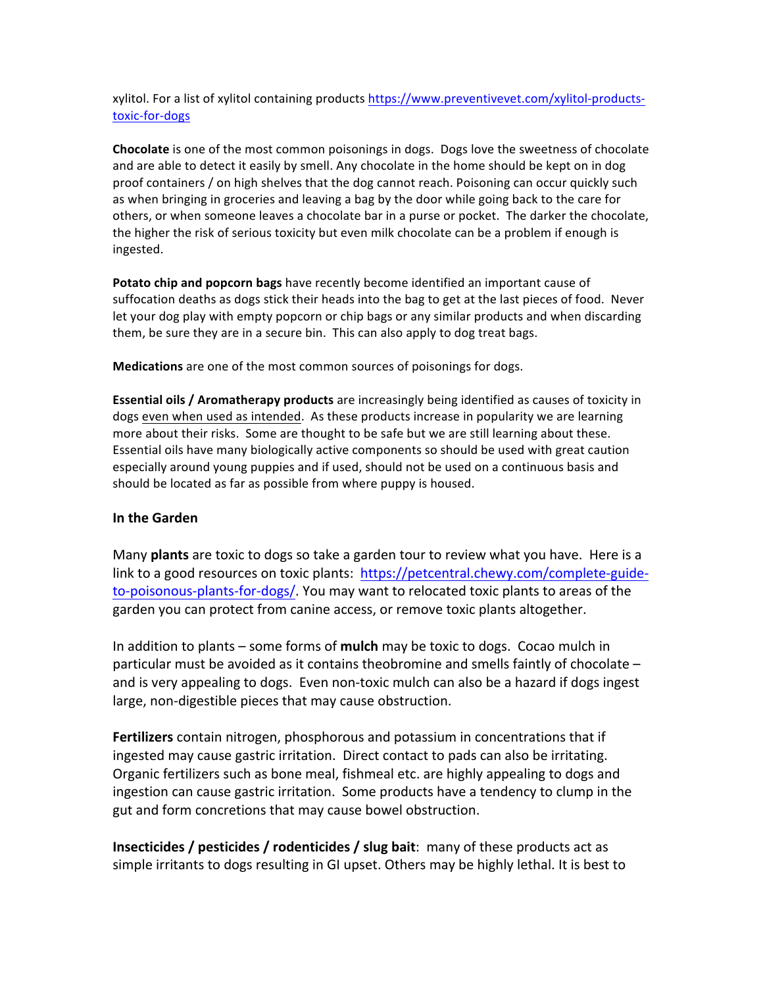xylitol. For a list of xylitol containing products https://www.preventivevet.com/xylitol-productstoxic-for-dogs

**Chocolate** is one of the most common poisonings in dogs. Dogs love the sweetness of chocolate and are able to detect it easily by smell. Any chocolate in the home should be kept on in dog proof containers / on high shelves that the dog cannot reach. Poisoning can occur quickly such as when bringing in groceries and leaving a bag by the door while going back to the care for others, or when someone leaves a chocolate bar in a purse or pocket. The darker the chocolate, the higher the risk of serious toxicity but even milk chocolate can be a problem if enough is ingested.

**Potato chip and popcorn bags** have recently become identified an important cause of suffocation deaths as dogs stick their heads into the bag to get at the last pieces of food. Never let your dog play with empty popcorn or chip bags or any similar products and when discarding them, be sure they are in a secure bin. This can also apply to dog treat bags.

**Medications** are one of the most common sources of poisonings for dogs.

**Essential oils / Aromatherapy products** are increasingly being identified as causes of toxicity in dogs even when used as intended. As these products increase in popularity we are learning more about their risks. Some are thought to be safe but we are still learning about these. Essential oils have many biologically active components so should be used with great caution especially around young puppies and if used, should not be used on a continuous basis and should be located as far as possible from where puppy is housed.

## **In the Garden**

Many **plants** are toxic to dogs so take a garden tour to review what you have. Here is a link to a good resources on toxic plants: https://petcentral.chewy.com/complete-guideto-poisonous-plants-for-dogs/. You may want to relocated toxic plants to areas of the garden you can protect from canine access, or remove toxic plants altogether.

In addition to plants – some forms of **mulch** may be toxic to dogs. Cocao mulch in particular must be avoided as it contains theobromine and smells faintly of chocolate and is very appealing to dogs. Even non-toxic mulch can also be a hazard if dogs ingest large, non-digestible pieces that may cause obstruction.

**Fertilizers** contain nitrogen, phosphorous and potassium in concentrations that if ingested may cause gastric irritation. Direct contact to pads can also be irritating. Organic fertilizers such as bone meal, fishmeal etc. are highly appealing to dogs and ingestion can cause gastric irritation. Some products have a tendency to clump in the gut and form concretions that may cause bowel obstruction.

**Insecticides / pesticides / rodenticides / slug bait:** many of these products act as simple irritants to dogs resulting in GI upset. Others may be highly lethal. It is best to